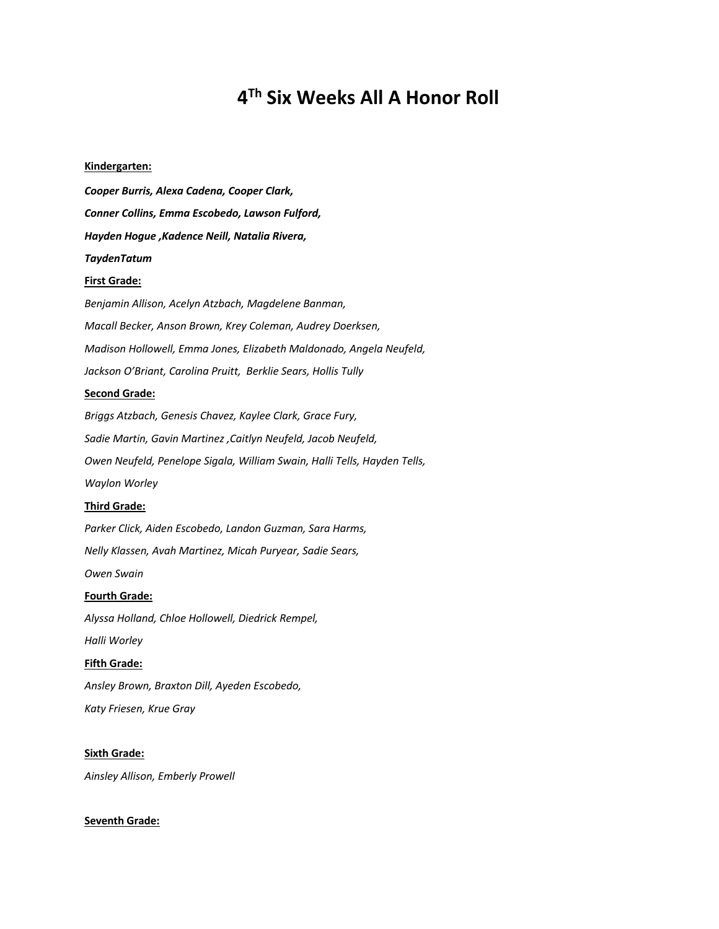# **4Th Six Weeks All A Honor Roll**

#### **Kindergarten:**

*Cooper Burris, Alexa Cadena, Cooper Clark, Conner Collins, Emma Escobedo, Lawson Fulford, Hayden Hogue ,Kadence Neill, Natalia Rivera, TaydenTatum*

#### **First Grade:**

*Benjamin Allison, Acelyn Atzbach, Magdelene Banman, Macall Becker, Anson Brown, Krey Coleman, Audrey Doerksen, Madison Hollowell, Emma Jones, Elizabeth Maldonado, Angela Neufeld, Jackson O'Briant, Carolina Pruitt, Berklie Sears, Hollis Tully*

### **Second Grade:**

*Briggs Atzbach, Genesis Chavez, Kaylee Clark, Grace Fury, Sadie Martin, Gavin Martinez ,Caitlyn Neufeld, Jacob Neufeld, Owen Neufeld, Penelope Sigala, William Swain, Halli Tells, Hayden Tells, Waylon Worley*

### **Third Grade:**

*Parker Click, Aiden Escobedo, Landon Guzman, Sara Harms, Nelly Klassen, Avah Martinez, Micah Puryear, Sadie Sears, Owen Swain* **Fourth Grade:**

*Alyssa Holland, Chloe Hollowell, Diedrick Rempel, Halli Worley* **Fifth Grade:**

*Ansley Brown, Braxton Dill, Ayeden Escobedo, Katy Friesen, Krue Gray*

**Sixth Grade:** *Ainsley Allison, Emberly Prowell*

# **Seventh Grade:**